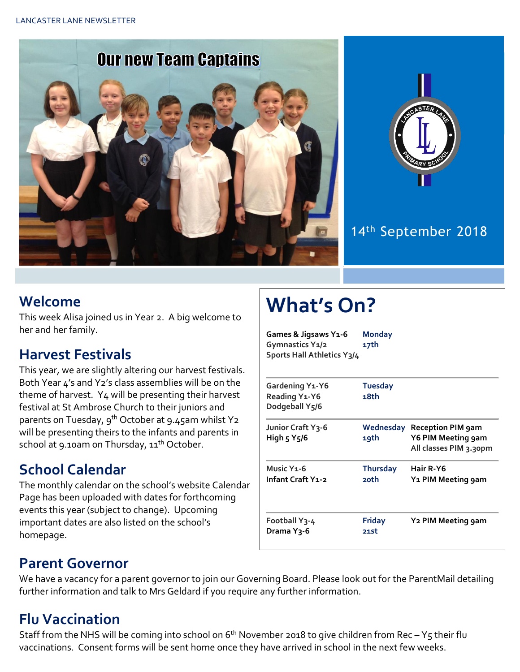



#### 14th September 2018

#### **Welcome**

This week Alisa joined us in Year 2. A big welcome to her and her family.

#### **Harvest Festivals**

This year, we are slightly altering our harvest festivals. Both Year 4's and Y2's class assemblies will be on the theme of harvest. Y4 will be presenting their harvest festival at St Ambrose Church to their juniors and parents on Tuesday, 9<sup>th</sup> October at 9.45am whilst Y2 will be presenting theirs to the infants and parents in school at 9.10am on Thursday, 11<sup>th</sup> October.

### **School Calendar**

The monthly calendar on the school's website Calendar Page has been uploaded with dates for forthcoming events this year (subject to change). Upcoming important dates are also listed on the school's homepage.

# **What's On?**

| Games & Jigsaws Y1-6<br>Gymnastics Y1/2<br>Sports Hall Athletics Y3/4 | <b>Monday</b><br>17th  |                                                                          |
|-----------------------------------------------------------------------|------------------------|--------------------------------------------------------------------------|
| Gardening Y1-Y6<br>Reading Y1-Y6                                      | <b>Tuesday</b><br>18th |                                                                          |
| Dodgeball Y5/6                                                        |                        |                                                                          |
| Junior Craft Y3-6<br>High 5 Y5/6                                      | Wednesday<br>19th      | <b>Reception PIM 9am</b><br>Y6 PIM Meeting gam<br>All classes PIM 3.30pm |
| Music Y <sub>1</sub> -6                                               | Thursday               | Hair R-Y6                                                                |
| Infant Craft Y1-2                                                     | 20th                   | Y1 PIM Meeting 9am                                                       |
| Football Y3-4<br>Drama Y <sub>3</sub> -6                              | <b>Friday</b><br>21st  | Y2 PIM Meeting gam                                                       |

#### **Parent Governor**

We have a vacancy for a parent governor to join our Governing Board. Please look out for the ParentMail detailing further information and talk to Mrs Geldard if you require any further information.

# **Flu Vaccination**

Staff from the NHS will be coming into school on  $6<sup>th</sup>$  November 2018 to give children from Rec – Y5 their flu vaccinations. Consent forms will be sent home once they have arrived in school in the next few weeks.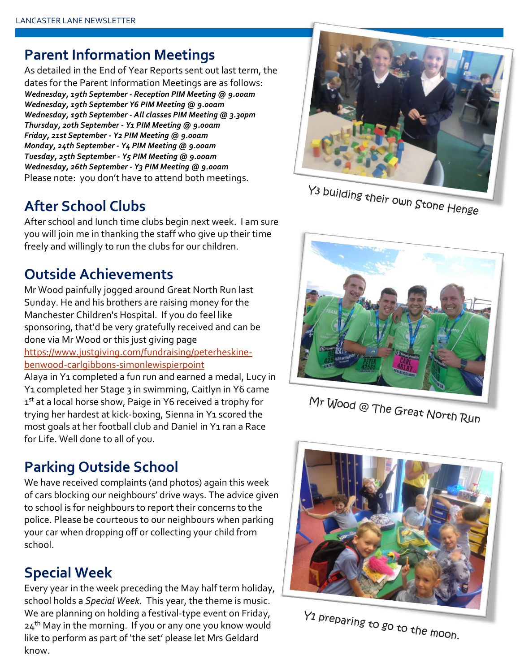#### **Parent Information Meetings**

As detailed in the End of Year Reports sent out last term, the dates for the Parent Information Meetings are as follows: *Wednesday, 19th September - Reception PIM Meeting @ 9.00am Wednesday, 19th September Y6 PIM Meeting @ 9.00am Wednesday, 19th September - All classes PIM Meeting @ 3.30pm Thursday, 20th September - Y1 PIM Meeting @ 9.00am Friday, 21st September - Y2 PIM Meeting @ 9.00am Monday, 24th September - Y4 PIM Meeting @ 9.00am Tuesday, 25th September - Y5 PIM Meeting @ 9.00am Wednesday, 26th September - Y3 PIM Meeting @ 9.00am* Please note: you don't have to attend both meetings.

# **After School Clubs**

After school and lunch time clubs begin next week. I am sure you will join me in thanking the staff who give up their time freely and willingly to run the clubs for our children.

### **Outside Achievements**

Mr Wood painfully jogged around Great North Run last Sunday. He and his brothers are raising money for the Manchester Children's Hospital. If you do feel like sponsoring, that'd be very gratefully received and can be done via Mr Wood or this just giving page [https://www.justgiving.com/fundraising/peterheskine](https://www.justgiving.com/fundraising/peterheskine-benwood-carlgibbons-simonlewispierpoint)[benwood-carlgibbons-simonlewispierpoint](https://www.justgiving.com/fundraising/peterheskine-benwood-carlgibbons-simonlewispierpoint) Alaya in Y1 completed a fun run and earned a medal, Lucy in Y<sub>1</sub> completed her Stage 3 in swimming, Caitlyn in Y6 came 1st at a local horse show, Paige in Y6 received a trophy for

trying her hardest at kick-boxing, Sienna in Y1 scored the most goals at her football club and Daniel in Y1 ran a Race for Life. Well done to all of you.

# **Parking Outside School**

We have received complaints (and photos) again this week of cars blocking our neighbours' drive ways. The advice given to school is for neighbours to report their concerns to the police. Please be courteous to our neighbours when parking your car when dropping off or collecting your child from school.

# **Special Week**

Every year in the week preceding the May half term holiday, school holds a *Special Week.* This year, the theme is music. We are planning on holding a festival-type event on Friday,  $24<sup>th</sup>$  May in the morning. If you or any one you know would like to perform as part of 'the set' please let Mrs Geldard know.



Y<sub>3</sub> building their own Stone Henge



Mr Wood @ The Great North Run



Y<sub>1</sub> preparing to go to the moon.